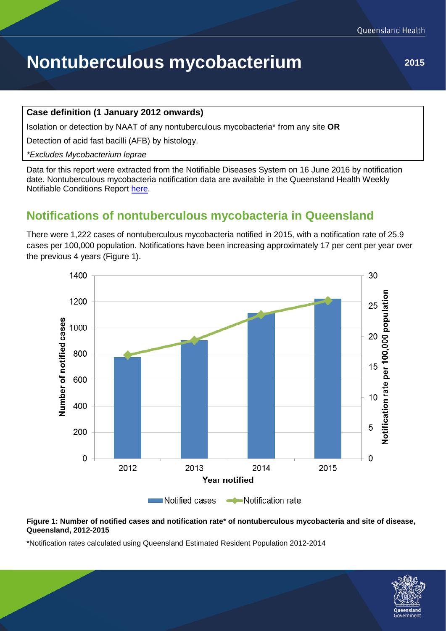# **Nontuberculous mycobacterium** 2015

#### **Case definition (1 January 2012 onwards)**

Isolation or detection by NAAT of any nontuberculous mycobacteria\* from any site **OR**

Detection of acid fast bacilli (AFB) by histology.

*\*Excludes Mycobacterium leprae*

Data for this report were extracted from the Notifiable Diseases System on 16 June 2016 by notification date. Nontuberculous mycobacteria notification data are available in the Queensland Health Weekly Notifiable Conditions Report [here.](https://www.health.qld.gov.au/clinical-practice/guidelines-procedures/diseases-infection/surveillance/reports/notifiable/default.asp)

### **Notifications of nontuberculous mycobacteria in Queensland**

There were 1,222 cases of nontuberculous mycobacteria notified in 2015, with a notification rate of 25.9 cases per 100,000 population. Notifications have been increasing approximately 17 per cent per year over the previous 4 years (Figure 1).



#### **Figure 1: Number of notified cases and notification rate\* of nontuberculous mycobacteria and site of disease, Queensland, 2012-2015**

\*Notification rates calculated using Queensland Estimated Resident Population 2012-2014

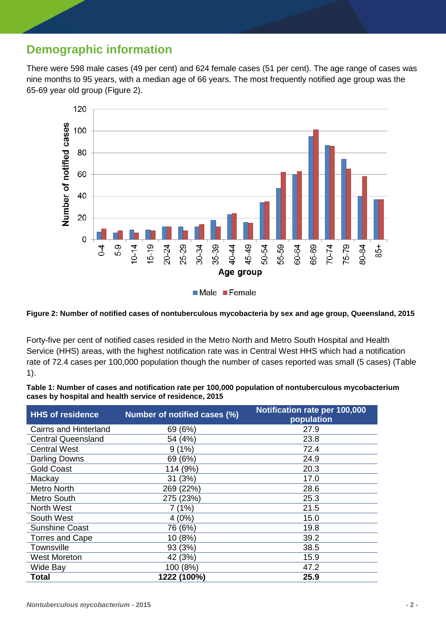## **Demographic information**

There were 598 male cases (49 per cent) and 624 female cases (51 per cent). The age range of cases was nine months to 95 years, with a median age of 66 years. The most frequently notified age group was the 65-69 year old group (Figure 2).



#### **Figure 2: Number of notified cases of nontuberculous mycobacteria by sex and age group, Queensland, 2015**

Forty-five per cent of notified cases resided in the Metro North and Metro South Hospital and Health Service (HHS) areas, with the highest notification rate was in Central West HHS which had a notification rate of 72.4 cases per 100,000 population though the number of cases reported was small (5 cases) (Table 1).

**Table 1: Number of cases and notification rate per 100,000 population of nontuberculous mycobacterium cases by hospital and health service of residence, 2015**

| <b>HHS of residence</b>   | Number of notified cases (%) | Notification rate per 100,000<br>population |  |
|---------------------------|------------------------------|---------------------------------------------|--|
| Cairns and Hinterland     | 69 (6%)                      | 27.9                                        |  |
| <b>Central Queensland</b> | 54 (4%)                      | 23.8                                        |  |
| <b>Central West</b>       | (1%)<br>91                   | 72.4                                        |  |
| <b>Darling Downs</b>      | 69 (6%)                      | 24.9                                        |  |
| <b>Gold Coast</b>         | 114 (9%)                     | 20.3                                        |  |
| Mackay                    | (3%)<br>31.                  | 17.0                                        |  |
| <b>Metro North</b>        | 269 (22%)                    | 28.6                                        |  |
| <b>Metro South</b>        | 275 (23%)                    | 25.3                                        |  |
| <b>North West</b>         | (1%)                         | 21.5                                        |  |
| South West                | 4(0%)                        | 15.0                                        |  |
| <b>Sunshine Coast</b>     | 76 (6%)                      | 19.8                                        |  |
| Torres and Cape           | 10 (8%)                      | 39.2                                        |  |
| Townsville                | 93 (3%)                      | 38.5                                        |  |
| <b>West Moreton</b>       | 42 (3%)                      | 15.9                                        |  |
| Wide Bay                  | 100 (8%)                     | 47.2                                        |  |
| <b>Total</b>              | 1222 (100%)                  | 25.9                                        |  |